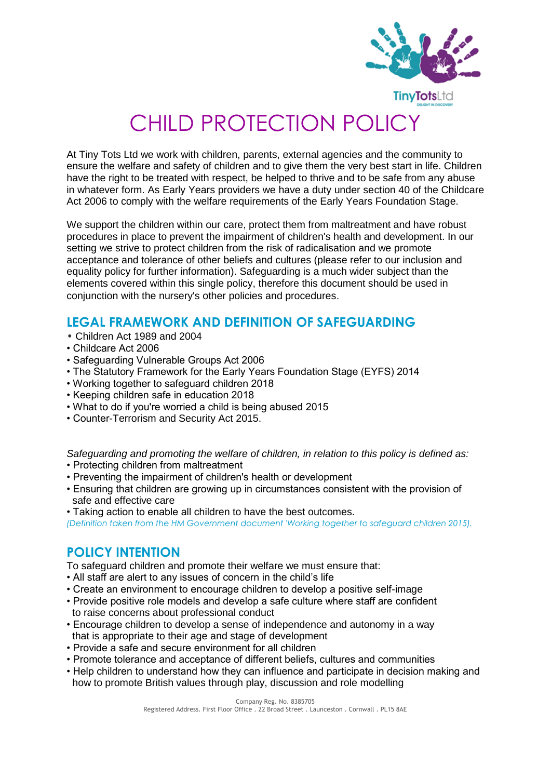

# CHILD PROTECTION POLICY

At Tiny Tots Ltd we work with children, parents, external agencies and the community to ensure the welfare and safety of children and to give them the very best start in life. Children have the right to be treated with respect, be helped to thrive and to be safe from any abuse in whatever form. As Early Years providers we have a duty under section 40 of the Childcare Act 2006 to comply with the welfare requirements of the Early Years Foundation Stage.

We support the children within our care, protect them from maltreatment and have robust procedures in place to prevent the impairment of children's health and development. In our setting we strive to protect children from the risk of radicalisation and we promote acceptance and tolerance of other beliefs and cultures (please refer to our inclusion and equality policy for further information). Safeguarding is a much wider subject than the elements covered within this single policy, therefore this document should be used in conjunction with the nursery's other policies and procedures.

## **LEGAL FRAMEWORK AND DEFINITION OF SAFEGUARDING**

- Children Act 1989 and 2004
- Childcare Act 2006
- Safeguarding Vulnerable Groups Act 2006
- The Statutory Framework for the Early Years Foundation Stage (EYFS) 2014
- Working together to safeguard children 2018
- Keeping children safe in education 2018
- What to do if you're worried a child is being abused 2015
- Counter-Terrorism and Security Act 2015.

*Safeguarding and promoting the welfare of children, in relation to this policy is defined as:*

- Protecting children from maltreatment
- Preventing the impairment of children's health or development
- Ensuring that children are growing up in circumstances consistent with the provision of safe and effective care
- Taking action to enable all children to have the best outcomes.

*(Definition taken from the HM Government document 'Working together to safeguard children 2015).*

## **POLICY INTENTION**

To safeguard children and promote their welfare we must ensure that:

- All staff are alert to any issues of concern in the child's life
- Create an environment to encourage children to develop a positive self-image
- Provide positive role models and develop a safe culture where staff are confident to raise concerns about professional conduct
- Encourage children to develop a sense of independence and autonomy in a way that is appropriate to their age and stage of development
- Provide a safe and secure environment for all children
- Promote tolerance and acceptance of different beliefs, cultures and communities
- Help children to understand how they can influence and participate in decision making and how to promote British values through play, discussion and role modelling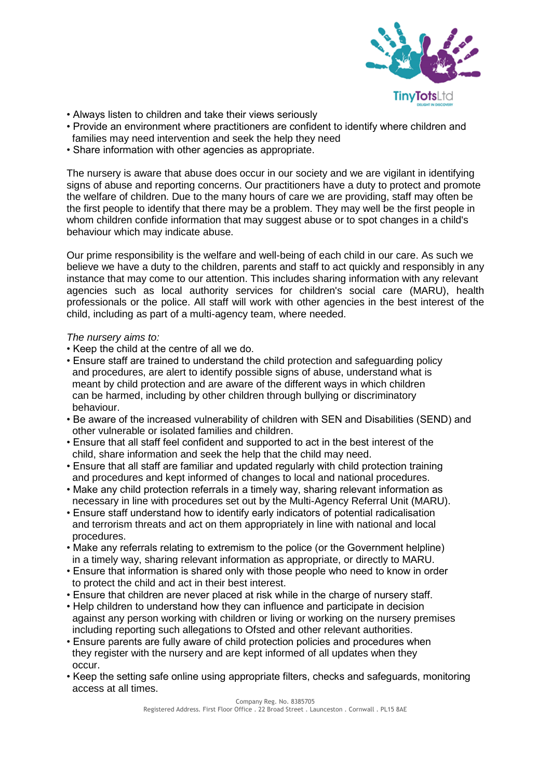

- Always listen to children and take their views seriously
- Provide an environment where practitioners are confident to identify where children and families may need intervention and seek the help they need
- Share information with other agencies as appropriate.

The nursery is aware that abuse does occur in our society and we are vigilant in identifying signs of abuse and reporting concerns. Our practitioners have a duty to protect and promote the welfare of children. Due to the many hours of care we are providing, staff may often be the first people to identify that there may be a problem. They may well be the first people in whom children confide information that may suggest abuse or to spot changes in a child's behaviour which may indicate abuse.

Our prime responsibility is the welfare and well-being of each child in our care. As such we believe we have a duty to the children, parents and staff to act quickly and responsibly in any instance that may come to our attention. This includes sharing information with any relevant agencies such as local authority services for children's social care (MARU), health professionals or the police. All staff will work with other agencies in the best interest of the child, including as part of a multi-agency team, where needed.

#### *The nursery aims to:*

- Keep the child at the centre of all we do.
- Ensure staff are trained to understand the child protection and safeguarding policy and procedures, are alert to identify possible signs of abuse, understand what is meant by child protection and are aware of the different ways in which children can be harmed, including by other children through bullying or discriminatory behaviour.
- Be aware of the increased vulnerability of children with SEN and Disabilities (SEND) and other vulnerable or isolated families and children.
- Ensure that all staff feel confident and supported to act in the best interest of the child, share information and seek the help that the child may need.
- Ensure that all staff are familiar and updated regularly with child protection training and procedures and kept informed of changes to local and national procedures.
- Make any child protection referrals in a timely way, sharing relevant information as necessary in line with procedures set out by the Multi-Agency Referral Unit (MARU).
- Ensure staff understand how to identify early indicators of potential radicalisation and terrorism threats and act on them appropriately in line with national and local procedures.
- Make any referrals relating to extremism to the police (or the Government helpline) in a timely way, sharing relevant information as appropriate, or directly to MARU.
- Ensure that information is shared only with those people who need to know in order to protect the child and act in their best interest.
- Ensure that children are never placed at risk while in the charge of nursery staff.
- Help children to understand how they can influence and participate in decision against any person working with children or living or working on the nursery premises including reporting such allegations to Ofsted and other relevant authorities.
- Ensure parents are fully aware of child protection policies and procedures when they register with the nursery and are kept informed of all updates when they occur.
- Keep the setting safe online using appropriate filters, checks and safeguards, monitoring access at all times.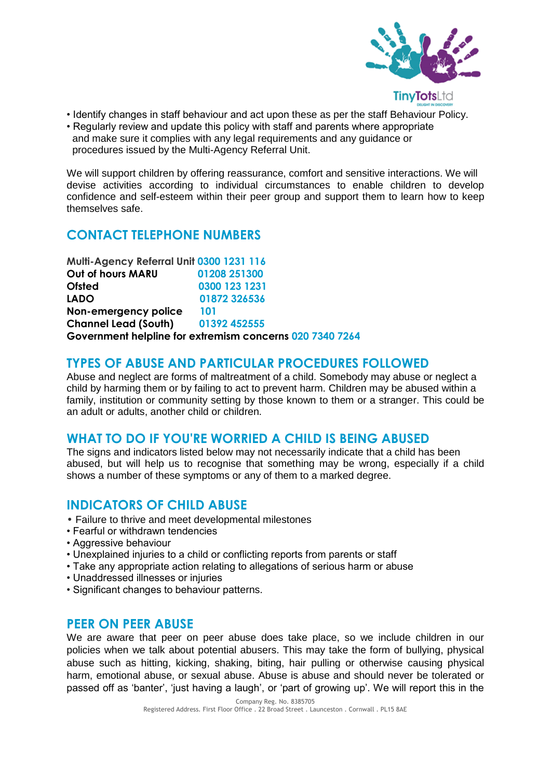

- Identify changes in staff behaviour and act upon these as per the staff Behaviour Policy.
- Regularly review and update this policy with staff and parents where appropriate and make sure it complies with any legal requirements and any guidance or procedures issued by the Multi-Agency Referral Unit.

We will support children by offering reassurance, comfort and sensitive interactions. We will devise activities according to individual circumstances to enable children to develop confidence and self-esteem within their peer group and support them to learn how to keep themselves safe.

## **CONTACT TELEPHONE NUMBERS**

**Multi-Agency Referral Unit 0300 1231 116 Out of hours MARU 01208 251300 Ofsted 0300 123 1231 LADO 01872 326536 Non-emergency police 101 Channel Lead (South) 01392 452555 Government helpline for extremism concerns 020 7340 7264**

#### **TYPES OF ABUSE AND PARTICULAR PROCEDURES FOLLOWED**

Abuse and neglect are forms of maltreatment of a child. Somebody may abuse or neglect a child by harming them or by failing to act to prevent harm. Children may be abused within a family, institution or community setting by those known to them or a stranger. This could be an adult or adults, another child or children.

## **WHAT TO DO IF YOU'RE WORRIED A CHILD IS BEING ABUSED**

The signs and indicators listed below may not necessarily indicate that a child has been abused, but will help us to recognise that something may be wrong, especially if a child shows a number of these symptoms or any of them to a marked degree.

#### **INDICATORS OF CHILD ABUSE**

- Failure to thrive and meet developmental milestones
- Fearful or withdrawn tendencies
- Aggressive behaviour
- Unexplained injuries to a child or conflicting reports from parents or staff
- Take any appropriate action relating to allegations of serious harm or abuse
- Unaddressed illnesses or injuries
- Significant changes to behaviour patterns.

#### **PEER ON PEER ABUSE**

We are aware that peer on peer abuse does take place, so we include children in our policies when we talk about potential abusers. This may take the form of bullying, physical abuse such as hitting, kicking, shaking, biting, hair pulling or otherwise causing physical harm, emotional abuse, or sexual abuse. Abuse is abuse and should never be tolerated or passed off as 'banter', 'just having a laugh', or 'part of growing up'. We will report this in the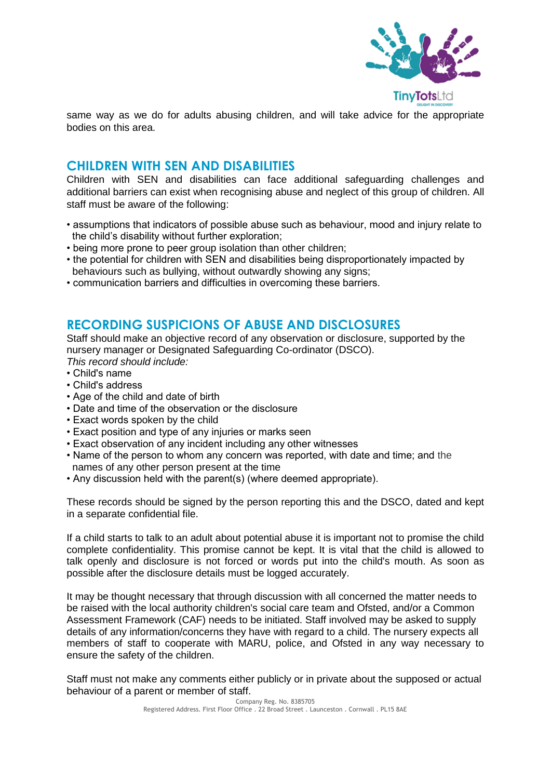

same way as we do for adults abusing children, and will take advice for the appropriate bodies on this area.

#### **CHILDREN WITH SEN AND DISABILITIES**

Children with SEN and disabilities can face additional safeguarding challenges and additional barriers can exist when recognising abuse and neglect of this group of children. All staff must be aware of the following:

- assumptions that indicators of possible abuse such as behaviour, mood and injury relate to the child's disability without further exploration;
- being more prone to peer group isolation than other children;
- the potential for children with SEN and disabilities being disproportionately impacted by behaviours such as bullying, without outwardly showing any signs;
- communication barriers and difficulties in overcoming these barriers.

#### **RECORDING SUSPICIONS OF ABUSE AND DISCLOSURES**

Staff should make an objective record of any observation or disclosure, supported by the nursery manager or Designated Safeguarding Co-ordinator (DSCO).

*This record should include:*

- Child's name
- Child's address
- Age of the child and date of birth
- Date and time of the observation or the disclosure
- Exact words spoken by the child
- Exact position and type of any injuries or marks seen
- Exact observation of any incident including any other witnesses
- Name of the person to whom any concern was reported, with date and time; and the names of any other person present at the time
- Any discussion held with the parent(s) (where deemed appropriate).

These records should be signed by the person reporting this and the DSCO, dated and kept in a separate confidential file.

If a child starts to talk to an adult about potential abuse it is important not to promise the child complete confidentiality. This promise cannot be kept. It is vital that the child is allowed to talk openly and disclosure is not forced or words put into the child's mouth. As soon as possible after the disclosure details must be logged accurately.

It may be thought necessary that through discussion with all concerned the matter needs to be raised with the local authority children's social care team and Ofsted, and/or a Common Assessment Framework (CAF) needs to be initiated. Staff involved may be asked to supply details of any information/concerns they have with regard to a child. The nursery expects all members of staff to cooperate with MARU, police, and Ofsted in any way necessary to ensure the safety of the children.

Staff must not make any comments either publicly or in private about the supposed or actual behaviour of a parent or member of staff.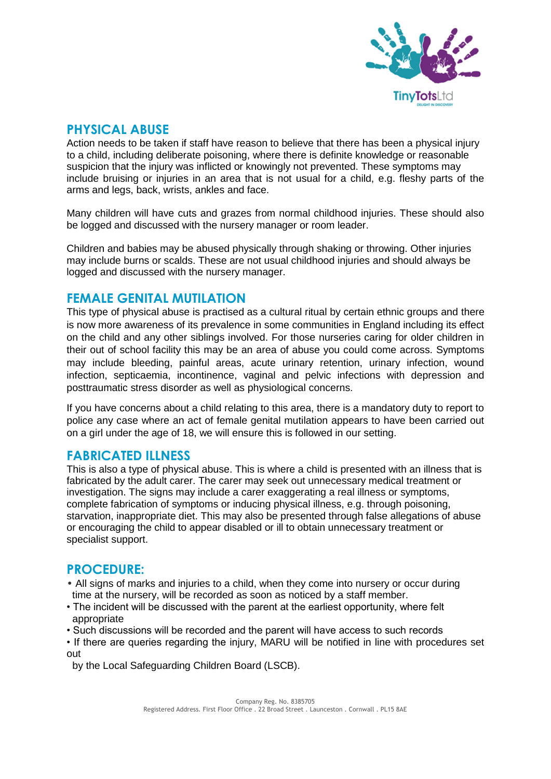

#### **PHYSICAL ABUSE**

Action needs to be taken if staff have reason to believe that there has been a physical injury to a child, including deliberate poisoning, where there is definite knowledge or reasonable suspicion that the injury was inflicted or knowingly not prevented. These symptoms may include bruising or injuries in an area that is not usual for a child, e.g. fleshy parts of the arms and legs, back, wrists, ankles and face.

Many children will have cuts and grazes from normal childhood injuries. These should also be logged and discussed with the nursery manager or room leader.

Children and babies may be abused physically through shaking or throwing. Other injuries may include burns or scalds. These are not usual childhood injuries and should always be logged and discussed with the nursery manager.

#### **FEMALE GENITAL MUTILATION**

This type of physical abuse is practised as a cultural ritual by certain ethnic groups and there is now more awareness of its prevalence in some communities in England including its effect on the child and any other siblings involved. For those nurseries caring for older children in their out of school facility this may be an area of abuse you could come across. Symptoms may include bleeding, painful areas, acute urinary retention, urinary infection, wound infection, septicaemia, incontinence, vaginal and pelvic infections with depression and posttraumatic stress disorder as well as physiological concerns.

If you have concerns about a child relating to this area, there is a mandatory duty to report to police any case where an act of female genital mutilation appears to have been carried out on a girl under the age of 18, we will ensure this is followed in our setting.

#### **FABRICATED ILLNESS**

This is also a type of physical abuse. This is where a child is presented with an illness that is fabricated by the adult carer. The carer may seek out unnecessary medical treatment or investigation. The signs may include a carer exaggerating a real illness or symptoms, complete fabrication of symptoms or inducing physical illness, e.g. through poisoning, starvation, inappropriate diet. This may also be presented through false allegations of abuse or encouraging the child to appear disabled or ill to obtain unnecessary treatment or specialist support.

#### **PROCEDURE:**

- All signs of marks and injuries to a child, when they come into nursery or occur during time at the nursery, will be recorded as soon as noticed by a staff member.
- The incident will be discussed with the parent at the earliest opportunity, where felt appropriate
- Such discussions will be recorded and the parent will have access to such records
- If there are queries regarding the injury, MARU will be notified in line with procedures set out

by the Local Safeguarding Children Board (LSCB).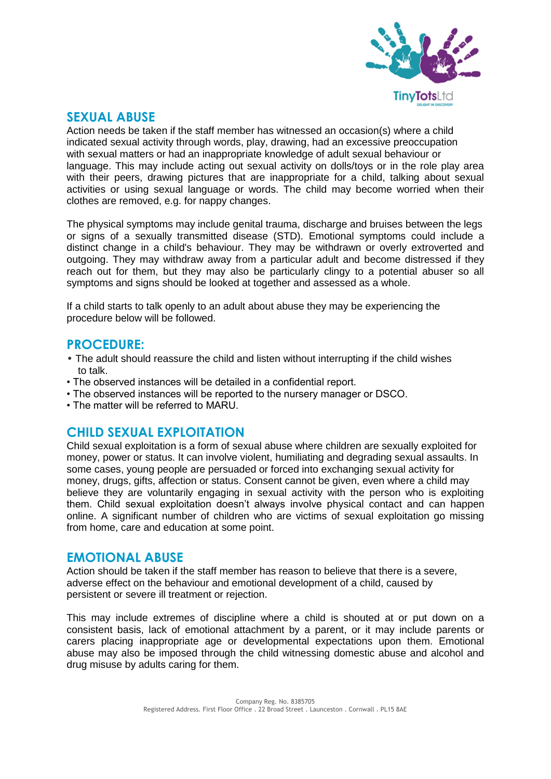

#### **SEXUAL ABUSE**

Action needs be taken if the staff member has witnessed an occasion(s) where a child indicated sexual activity through words, play, drawing, had an excessive preoccupation with sexual matters or had an inappropriate knowledge of adult sexual behaviour or language. This may include acting out sexual activity on dolls/toys or in the role play area with their peers, drawing pictures that are inappropriate for a child, talking about sexual activities or using sexual language or words. The child may become worried when their clothes are removed, e.g. for nappy changes.

The physical symptoms may include genital trauma, discharge and bruises between the legs or signs of a sexually transmitted disease (STD). Emotional symptoms could include a distinct change in a child's behaviour. They may be withdrawn or overly extroverted and outgoing. They may withdraw away from a particular adult and become distressed if they reach out for them, but they may also be particularly clingy to a potential abuser so all symptoms and signs should be looked at together and assessed as a whole.

If a child starts to talk openly to an adult about abuse they may be experiencing the procedure below will be followed.

#### **PROCEDURE:**

- The adult should reassure the child and listen without interrupting if the child wishes to talk.
- The observed instances will be detailed in a confidential report.
- The observed instances will be reported to the nursery manager or DSCO.
- The matter will be referred to MARU.

#### **CHILD SEXUAL EXPLOITATION**

Child sexual exploitation is a form of sexual abuse where children are sexually exploited for money, power or status. It can involve violent, humiliating and degrading sexual assaults. In some cases, young people are persuaded or forced into exchanging sexual activity for money, drugs, gifts, affection or status. Consent cannot be given, even where a child may believe they are voluntarily engaging in sexual activity with the person who is exploiting them. Child sexual exploitation doesn't always involve physical contact and can happen online. A significant number of children who are victims of sexual exploitation go missing from home, care and education at some point.

#### **EMOTIONAL ABUSE**

Action should be taken if the staff member has reason to believe that there is a severe, adverse effect on the behaviour and emotional development of a child, caused by persistent or severe ill treatment or rejection.

This may include extremes of discipline where a child is shouted at or put down on a consistent basis, lack of emotional attachment by a parent, or it may include parents or carers placing inappropriate age or developmental expectations upon them. Emotional abuse may also be imposed through the child witnessing domestic abuse and alcohol and drug misuse by adults caring for them.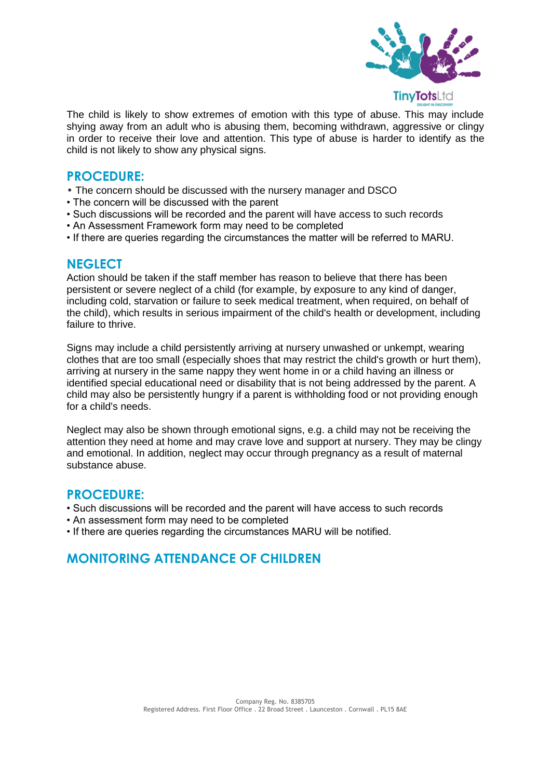

The child is likely to show extremes of emotion with this type of abuse. This may include shying away from an adult who is abusing them, becoming withdrawn, aggressive or clingy in order to receive their love and attention. This type of abuse is harder to identify as the child is not likely to show any physical signs.

#### **PROCEDURE:**

- The concern should be discussed with the nursery manager and DSCO
- The concern will be discussed with the parent
- Such discussions will be recorded and the parent will have access to such records
- An Assessment Framework form may need to be completed
- If there are queries regarding the circumstances the matter will be referred to MARU.

#### **NEGLECT**

Action should be taken if the staff member has reason to believe that there has been persistent or severe neglect of a child (for example, by exposure to any kind of danger, including cold, starvation or failure to seek medical treatment, when required, on behalf of the child), which results in serious impairment of the child's health or development, including failure to thrive.

Signs may include a child persistently arriving at nursery unwashed or unkempt, wearing clothes that are too small (especially shoes that may restrict the child's growth or hurt them), arriving at nursery in the same nappy they went home in or a child having an illness or identified special educational need or disability that is not being addressed by the parent. A child may also be persistently hungry if a parent is withholding food or not providing enough for a child's needs.

Neglect may also be shown through emotional signs, e.g. a child may not be receiving the attention they need at home and may crave love and support at nursery. They may be clingy and emotional. In addition, neglect may occur through pregnancy as a result of maternal substance abuse.

#### **PROCEDURE:**

- Such discussions will be recorded and the parent will have access to such records
- An assessment form may need to be completed
- If there are queries regarding the circumstances MARU will be notified.

## **MONITORING ATTENDANCE OF CHILDREN**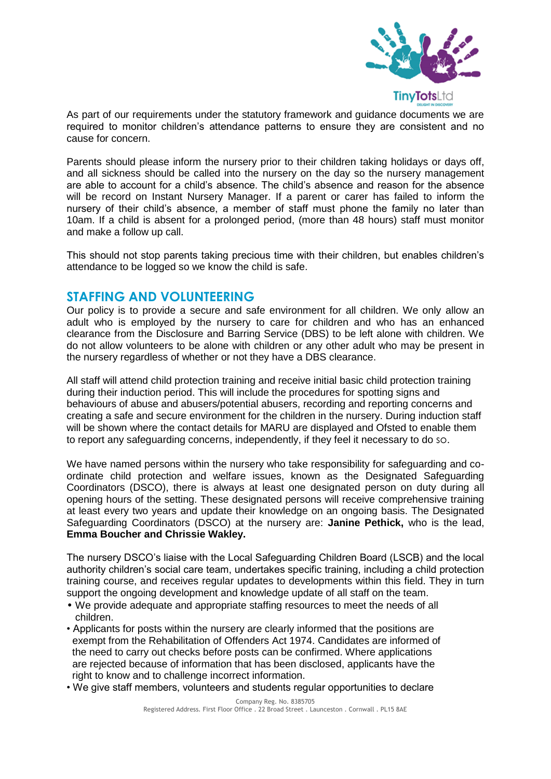

As part of our requirements under the statutory framework and guidance documents we are required to monitor children's attendance patterns to ensure they are consistent and no cause for concern.

Parents should please inform the nursery prior to their children taking holidays or days off, and all sickness should be called into the nursery on the day so the nursery management are able to account for a child's absence. The child's absence and reason for the absence will be record on Instant Nursery Manager. If a parent or carer has failed to inform the nursery of their child's absence, a member of staff must phone the family no later than 10am. If a child is absent for a prolonged period, (more than 48 hours) staff must monitor and make a follow up call.

This should not stop parents taking precious time with their children, but enables children's attendance to be logged so we know the child is safe.

#### **STAFFING AND VOLUNTEERING**

Our policy is to provide a secure and safe environment for all children. We only allow an adult who is employed by the nursery to care for children and who has an enhanced clearance from the Disclosure and Barring Service (DBS) to be left alone with children. We do not allow volunteers to be alone with children or any other adult who may be present in the nursery regardless of whether or not they have a DBS clearance.

All staff will attend child protection training and receive initial basic child protection training during their induction period. This will include the procedures for spotting signs and behaviours of abuse and abusers/potential abusers, recording and reporting concerns and creating a safe and secure environment for the children in the nursery. During induction staff will be shown where the contact details for MARU are displayed and Ofsted to enable them to report any safeguarding concerns, independently, if they feel it necessary to do so.

We have named persons within the nursery who take responsibility for safeguarding and coordinate child protection and welfare issues, known as the Designated Safeguarding Coordinators (DSCO), there is always at least one designated person on duty during all opening hours of the setting. These designated persons will receive comprehensive training at least every two years and update their knowledge on an ongoing basis. The Designated Safeguarding Coordinators (DSCO) at the nursery are: **Janine Pethick,** who is the lead, **Emma Boucher and Chrissie Wakley.** 

The nursery DSCO's liaise with the Local Safeguarding Children Board (LSCB) and the local authority children's social care team, undertakes specific training, including a child protection training course, and receives regular updates to developments within this field. They in turn support the ongoing development and knowledge update of all staff on the team.

- We provide adequate and appropriate staffing resources to meet the needs of all children.
- Applicants for posts within the nursery are clearly informed that the positions are exempt from the Rehabilitation of Offenders Act 1974. Candidates are informed of the need to carry out checks before posts can be confirmed. Where applications are rejected because of information that has been disclosed, applicants have the right to know and to challenge incorrect information.
- We give staff members, volunteers and students regular opportunities to declare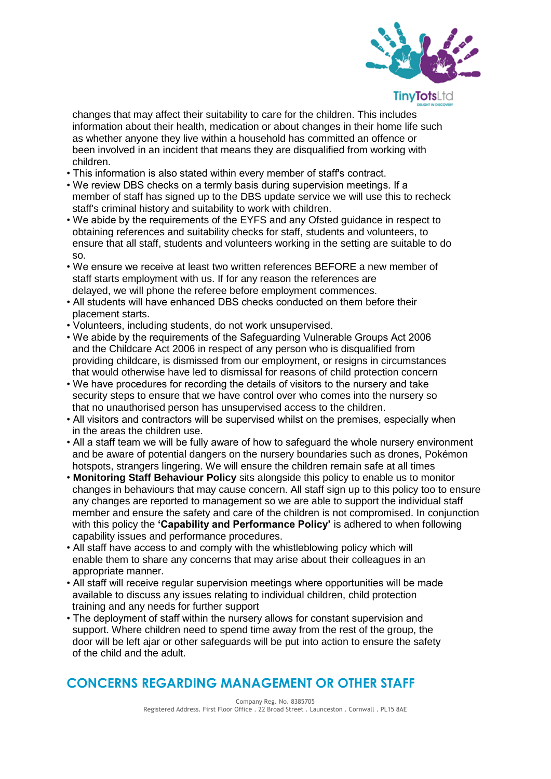

 changes that may affect their suitability to care for the children. This includes information about their health, medication or about changes in their home life such as whether anyone they live within a household has committed an offence or been involved in an incident that means they are disqualified from working with children.

- This information is also stated within every member of staff's contract.
- We review DBS checks on a termly basis during supervision meetings. If a member of staff has signed up to the DBS update service we will use this to recheck staff's criminal history and suitability to work with children.
- We abide by the requirements of the EYFS and any Ofsted guidance in respect to obtaining references and suitability checks for staff, students and volunteers, to ensure that all staff, students and volunteers working in the setting are suitable to do so.
- We ensure we receive at least two written references BEFORE a new member of staff starts employment with us. If for any reason the references are delayed, we will phone the referee before employment commences.
- All students will have enhanced DBS checks conducted on them before their placement starts.
- Volunteers, including students, do not work unsupervised.
- We abide by the requirements of the Safeguarding Vulnerable Groups Act 2006 and the Childcare Act 2006 in respect of any person who is disqualified from providing childcare, is dismissed from our employment, or resigns in circumstances that would otherwise have led to dismissal for reasons of child protection concern
- We have procedures for recording the details of visitors to the nursery and take security steps to ensure that we have control over who comes into the nursery so that no unauthorised person has unsupervised access to the children.
- All visitors and contractors will be supervised whilst on the premises, especially when in the areas the children use.
- All a staff team we will be fully aware of how to safeguard the whole nursery environment and be aware of potential dangers on the nursery boundaries such as drones, Pokémon hotspots, strangers lingering. We will ensure the children remain safe at all times
- **Monitoring Staff Behaviour Policy** sits alongside this policy to enable us to monitor changes in behaviours that may cause concern. All staff sign up to this policy too to ensure any changes are reported to management so we are able to support the individual staff member and ensure the safety and care of the children is not compromised. In conjunction with this policy the **'Capability and Performance Policy'** is adhered to when following capability issues and performance procedures.
- All staff have access to and comply with the whistleblowing policy which will enable them to share any concerns that may arise about their colleagues in an appropriate manner.
- All staff will receive regular supervision meetings where opportunities will be made available to discuss any issues relating to individual children, child protection training and any needs for further support
- The deployment of staff within the nursery allows for constant supervision and support. Where children need to spend time away from the rest of the group, the door will be left ajar or other safeguards will be put into action to ensure the safety of the child and the adult.

## **CONCERNS REGARDING MANAGEMENT OR OTHER STAFF**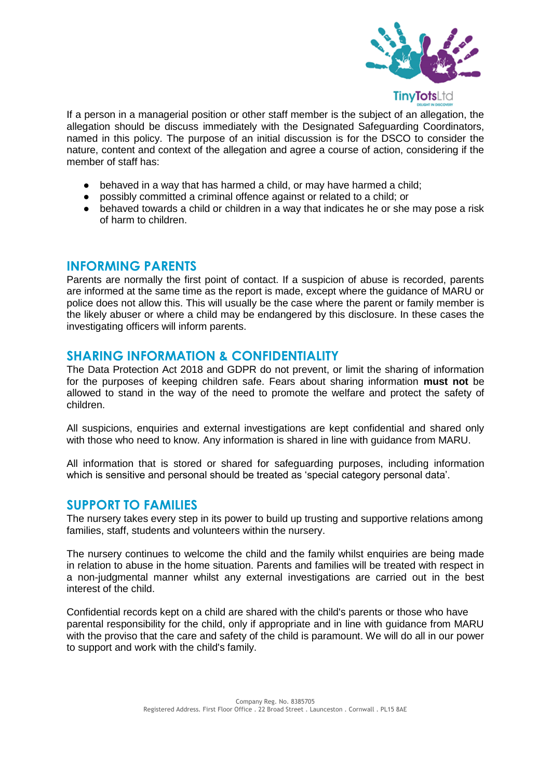

If a person in a managerial position or other staff member is the subject of an allegation, the allegation should be discuss immediately with the Designated Safeguarding Coordinators, named in this policy. The purpose of an initial discussion is for the DSCO to consider the nature, content and context of the allegation and agree a course of action, considering if the member of staff has:

- behaved in a way that has harmed a child, or may have harmed a child;
- possibly committed a criminal offence against or related to a child; or
- behaved towards a child or children in a way that indicates he or she may pose a risk of harm to children.

## **INFORMING PARENTS**

Parents are normally the first point of contact. If a suspicion of abuse is recorded, parents are informed at the same time as the report is made, except where the guidance of MARU or police does not allow this. This will usually be the case where the parent or family member is the likely abuser or where a child may be endangered by this disclosure. In these cases the investigating officers will inform parents.

#### **SHARING INFORMATION & CONFIDENTIALITY**

The Data Protection Act 2018 and GDPR do not prevent, or limit the sharing of information for the purposes of keeping children safe. Fears about sharing information **must not** be allowed to stand in the way of the need to promote the welfare and protect the safety of children.

All suspicions, enquiries and external investigations are kept confidential and shared only with those who need to know. Any information is shared in line with guidance from MARU.

All information that is stored or shared for safeguarding purposes, including information which is sensitive and personal should be treated as 'special category personal data'.

#### **SUPPORT TO FAMILIES**

The nursery takes every step in its power to build up trusting and supportive relations among families, staff, students and volunteers within the nursery.

The nursery continues to welcome the child and the family whilst enquiries are being made in relation to abuse in the home situation. Parents and families will be treated with respect in a non-judgmental manner whilst any external investigations are carried out in the best interest of the child.

Confidential records kept on a child are shared with the child's parents or those who have parental responsibility for the child, only if appropriate and in line with guidance from MARU with the proviso that the care and safety of the child is paramount. We will do all in our power to support and work with the child's family.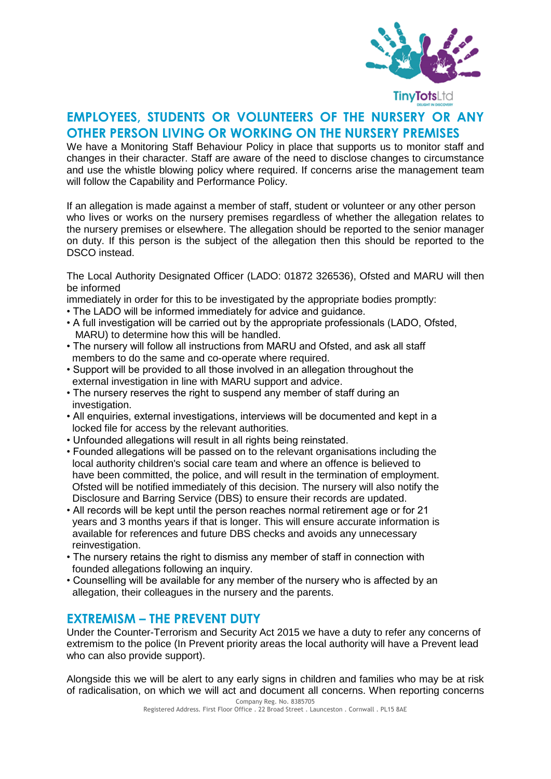

## **EMPLOYEES, STUDENTS OR VOLUNTEERS OF THE NURSERY OR ANY OTHER PERSON LIVING OR WORKING ON THE NURSERY PREMISES**

We have a Monitoring Staff Behaviour Policy in place that supports us to monitor staff and changes in their character. Staff are aware of the need to disclose changes to circumstance and use the whistle blowing policy where required. If concerns arise the management team will follow the Capability and Performance Policy.

If an allegation is made against a member of staff, student or volunteer or any other person who lives or works on the nursery premises regardless of whether the allegation relates to the nursery premises or elsewhere. The allegation should be reported to the senior manager on duty. If this person is the subject of the allegation then this should be reported to the DSCO instead.

The Local Authority Designated Officer (LADO: 01872 326536), Ofsted and MARU will then be informed

immediately in order for this to be investigated by the appropriate bodies promptly:

- The LADO will be informed immediately for advice and guidance.
- A full investigation will be carried out by the appropriate professionals (LADO, Ofsted, MARU) to determine how this will be handled.
- The nursery will follow all instructions from MARU and Ofsted, and ask all staff members to do the same and co-operate where required.
- Support will be provided to all those involved in an allegation throughout the external investigation in line with MARU support and advice.
- The nursery reserves the right to suspend any member of staff during an investigation.
- All enquiries, external investigations, interviews will be documented and kept in a locked file for access by the relevant authorities.
- Unfounded allegations will result in all rights being reinstated.
- Founded allegations will be passed on to the relevant organisations including the local authority children's social care team and where an offence is believed to have been committed, the police, and will result in the termination of employment. Ofsted will be notified immediately of this decision. The nursery will also notify the Disclosure and Barring Service (DBS) to ensure their records are updated.
- All records will be kept until the person reaches normal retirement age or for 21 years and 3 months years if that is longer. This will ensure accurate information is available for references and future DBS checks and avoids any unnecessary reinvestigation.
- The nursery retains the right to dismiss any member of staff in connection with founded allegations following an inquiry.
- Counselling will be available for any member of the nursery who is affected by an allegation, their colleagues in the nursery and the parents.

#### **EXTREMISM – THE PREVENT DUTY**

Under the Counter-Terrorism and Security Act 2015 we have a duty to refer any concerns of extremism to the police (In Prevent priority areas the local authority will have a Prevent lead who can also provide support).

Alongside this we will be alert to any early signs in children and families who may be at risk of radicalisation, on which we will act and document all concerns. When reporting concerns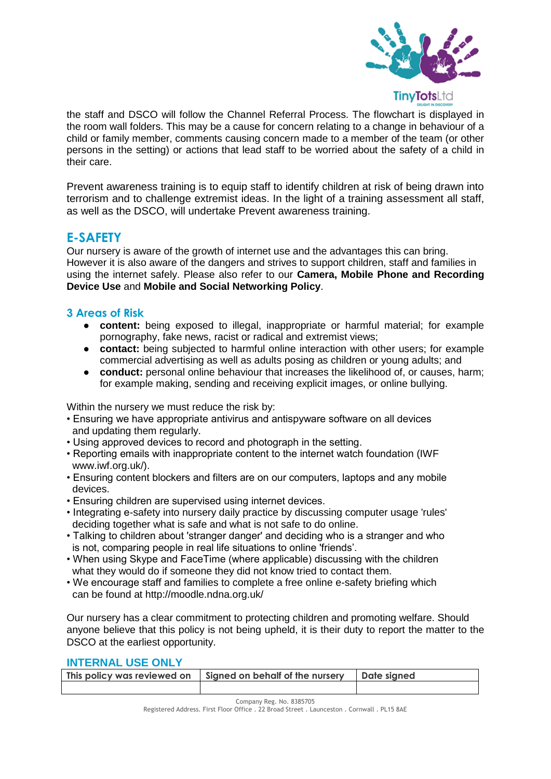

the staff and DSCO will follow the Channel Referral Process. The flowchart is displayed in the room wall folders. This may be a cause for concern relating to a change in behaviour of a child or family member, comments causing concern made to a member of the team (or other persons in the setting) or actions that lead staff to be worried about the safety of a child in their care.

Prevent awareness training is to equip staff to identify children at risk of being drawn into terrorism and to challenge extremist ideas. In the light of a training assessment all staff, as well as the DSCO, will undertake Prevent awareness training.

## **E-SAFETY**

Our nursery is aware of the growth of internet use and the advantages this can bring. However it is also aware of the dangers and strives to support children, staff and families in using the internet safely. Please also refer to our **Camera, Mobile Phone and Recording Device Use** and **Mobile and Social Networking Policy**.

#### **3 Areas of Risk**

- **content:** being exposed to illegal, inappropriate or harmful material; for example pornography, fake news, racist or radical and extremist views;
- **contact:** being subjected to harmful online interaction with other users; for example commercial advertising as well as adults posing as children or young adults; and
- **conduct:** personal online behaviour that increases the likelihood of, or causes, harm; for example making, sending and receiving explicit images, or online bullying.

Within the nursery we must reduce the risk by:

- Ensuring we have appropriate antivirus and antispyware software on all devices and updating them regularly.
- Using approved devices to record and photograph in the setting.
- Reporting emails with inappropriate content to the internet watch foundation (IWF www.iwf.org.uk/).
- Ensuring content blockers and filters are on our computers, laptops and any mobile devices.
- Ensuring children are supervised using internet devices.
- Integrating e-safety into nursery daily practice by discussing computer usage 'rules' deciding together what is safe and what is not safe to do online.
- Talking to children about 'stranger danger' and deciding who is a stranger and who is not, comparing people in real life situations to online 'friends'.
- When using Skype and FaceTime (where applicable) discussing with the children what they would do if someone they did not know tried to contact them.
- We encourage staff and families to complete a free online e-safety briefing which can be found at http://moodle.ndna.org.uk/

Our nursery has a clear commitment to protecting children and promoting welfare. Should anyone believe that this policy is not being upheld, it is their duty to report the matter to the DSCO at the earliest opportunity.

#### **INTERNAL USE ONLY**

| This policy was reviewed on | Signed on behalf of the nursery | Date signed |
|-----------------------------|---------------------------------|-------------|
|                             |                                 |             |

Company Reg. No. 8385705